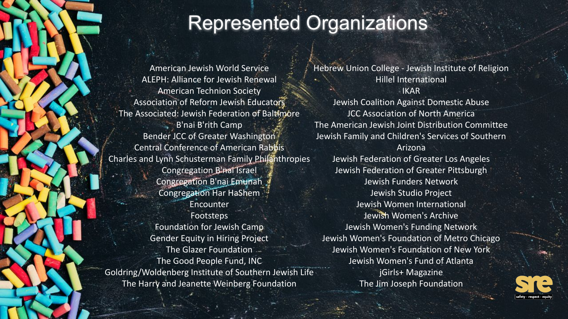## Represented Organizations

American Jewish World Service ALEPH: Alliance for Jewish Renewal American Technion Society Association of Reform Jewish Educators The Associated: Jewish Federation of Baltimore B'nai B'rith Camp Bender JCC of Greater Washington Central Conference of American Rabbis Charles and Lynn Schusterman Family Philanthropies Congregation B'nai Israel Congregation B'nai Emunah Congregation Har HaShem Encounter Footsteps Foundation for Jewish Camp Gender Equity in Hiring Project The Glazer Foundation The Good People Fund, INC Goldring/Woldenberg Institute of Southern Jewish Life The Harry and Jeanette Weinberg Foundation

Hebrew Union College - Jewish Institute of Religion Hillel International IKAR Jewish Coalition Against Domestic Abuse JCC Association of North America The American Jewish Joint Distribution Committee Jewish Family and Children's Services of Southern Arizona Jewish Federation of Greater Los Angeles Jewish Federation of Greater Pittsburgh Jewish Funders Network Jewish Studio Project Jewish Women International Jewish Women's Archive Jewish Women's Funding Network Jewish Women's Foundation of Metro Chicago Jewish Women's Foundation of New York Jewish Women's Fund of Atlanta jGirls+ Magazine The Jim Joseph Foundation

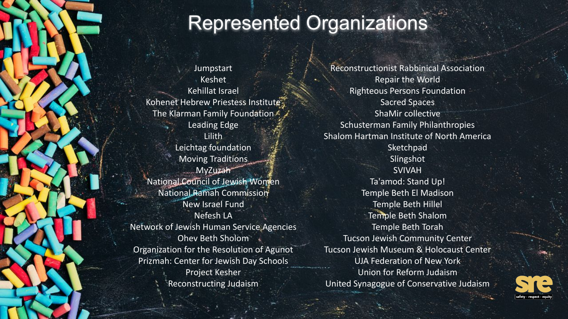## Represented Organizations

**Jumpstart** Keshet Kehillat Israel Kohenet Hebrew Priestess Institute The Klarman Family Foundation Leading Edge Lilith Leichtag foundation Moving Traditions MyZuzah National Council of Jewish Women National Ramah Commission New Israel Fund Nefesh LA Network of Jewish Human Service Agencies Ohev Beth Sholom Organization for the Resolution of Agunot Prizmah: Center for Jewish Day Schools Project Kesher Reconstructing Judaism

Reconstructionist Rabbinical Association Repair the World Righteous Persons Foundation Sacred Spaces ShaMir collective Schusterman Family Philanthropies Shalom Hartman Institute of North America **Sketchpad** Slingshot SVIVAH Ta'amod: Stand Up! Temple Beth El Madison Temple Beth Hillel Temple Beth Shalom Temple Beth Torah Tucson Jewish Community Center Tucson Jewish Museum & Holocaust Center UJA Federation of New York Union for Reform Judaism United Synagogue of Conservative Judaism